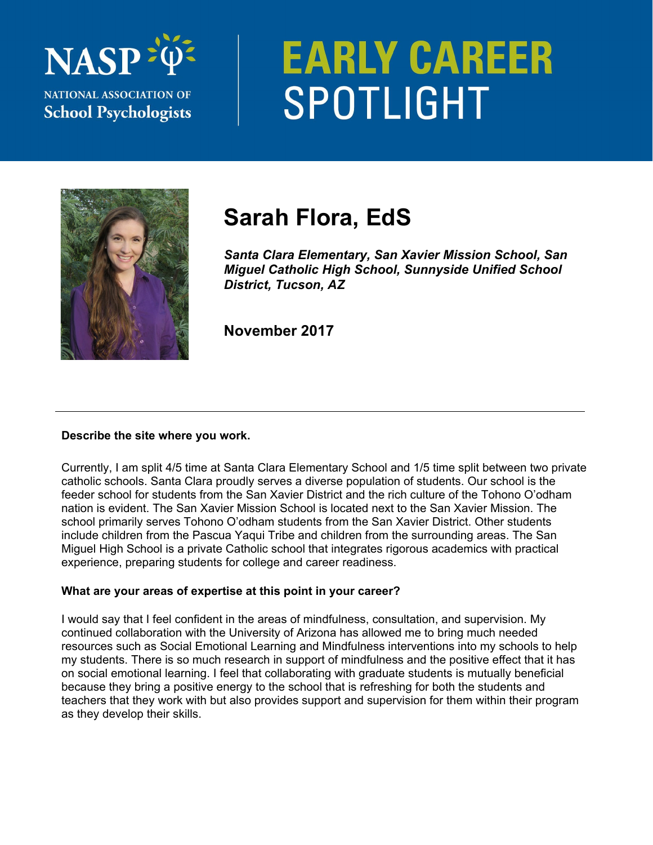

# **EARLY CAREER** SPOTLIGHT



# **Sarah Flora, EdS**

*Santa Clara Elementary, San Xavier Mission School, San Miguel Catholic High School, Sunnyside Unified School District, Tucson, AZ* 

**November 2017** 

# **Describe the site where you work.**

Currently, I am split 4/5 time at Santa Clara Elementary School and 1/5 time split between two private catholic schools. Santa Clara proudly serves a diverse population of students. Our school is the feeder school for students from the San Xavier District and the rich culture of the Tohono O'odham nation is evident. The San Xavier Mission School is located next to the San Xavier Mission. The school primarily serves Tohono O'odham students from the San Xavier District. Other students include children from the Pascua Yaqui Tribe and children from the surrounding areas. The San Miguel High School is a private Catholic school that integrates rigorous academics with practical experience, preparing students for college and career readiness.

# **What are your areas of expertise at this point in your career?**

I would say that I feel confident in the areas of mindfulness, consultation, and supervision. My continued collaboration with the University of Arizona has allowed me to bring much needed resources such as Social Emotional Learning and Mindfulness interventions into my schools to help my students. There is so much research in support of mindfulness and the positive effect that it has on social emotional learning. I feel that collaborating with graduate students is mutually beneficial because they bring a positive energy to the school that is refreshing for both the students and teachers that they work with but also provides support and supervision for them within their program as they develop their skills.